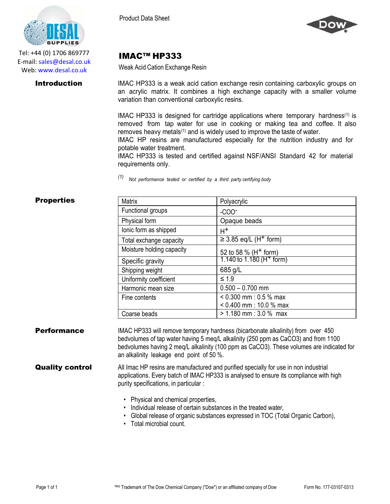

Tel: +44 (0) 1706 869777 E‐mail: sales@desal.co.uk Web: www.desal.co.uk



# IMAC™ HP333

Weak Acid Cation Exchange Resin

**Introduction** IMAC HP333 is a weak acid cation exchange resin containing carboxylic groups on an acrylic matrix. It combines a high exchange capacity with a smaller volume variation than conventional carboxylic resins.

> IMAC HP333 is designed for cartridge applications where temporary hardness<sup>(1)</sup> is removed from tap water for use in cooking or making tea and coffee. It also removes heavy metals<sup>(1)</sup> and is widely used to improve the taste of water.

IMAC HP resins are manufactured especially for the nutrition industry and for potable water treatment.

IMAC HP333 is tested and certified against NSF/ANSI Standard 42 for material requirements only.

*(1) Not performance tested or certified by <sup>a</sup> third party certifying body*

## **Properties**

| <b>Matrix</b>             | Polyacrylic                            |
|---------------------------|----------------------------------------|
| Functional groups         | $-COO-$                                |
| Physical form             | Opaque beads                           |
| lonic form as shipped     | H+                                     |
| Total exchange capacity   | $\geq$ 3.85 eq/L (H <sup>+</sup> form) |
| Moisture holding capacity | 52 to 58 % ( $H^+$ form)               |
| Specific gravity          | 1.140 to 1.180 ( $H^+$ form)           |
| Shipping weight           | 685 g/L                                |
| Uniformity coefficient    | $\leq 1.9$                             |
| Harmonic mean size        | $0.500 - 0.700$ mm                     |
| Fine contents             | $< 0.300$ mm : 0.5 % max               |
|                           | $< 0.400$ mm : 10.0 % max              |
| Coarse beads              | $> 1.180$ mm : 3.0 % max               |

**Performance** IMAC HP333 will remove temporary hardness (bicarbonate alkalinity) from over 450 bedvolumes of tap water having 5 meq/L alkalinity (250 ppm as CaCO3) and from 1100 bedvolumes having 2 meq/L alkalinity (100 ppm as CaCO3). These volumes are indicated for an alkalinity leakage end point of 50 %.

**Quality control** All Imac HP resins are manufactured and purified specially for use in non industrial applications. Every batch of IMAC HP333 is analysed to ensure its compliance with high purity specifications, in particular :

- Physical and chemical properties,
- Individual release of certain substances in the treated water,
- Global release of organic substances expressed in TOC (Total Organic Carbon),
- Total microbial count.